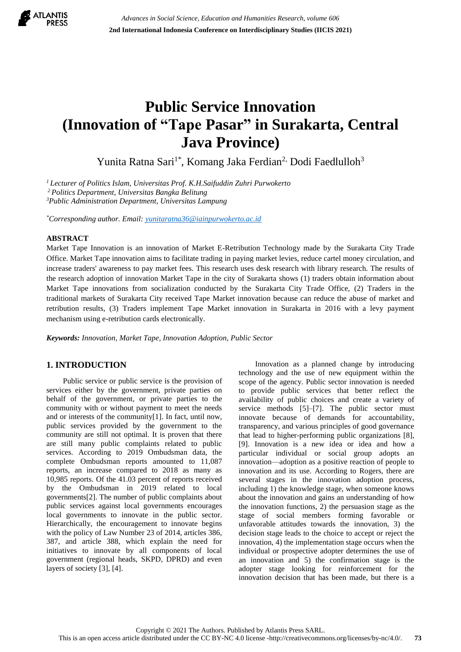

# **Public Service Innovation (Innovation of "Tape Pasar" in Surakarta, Central Java Province)**

Yunita Ratna Sari<sup>1\*</sup>, Komang Jaka Ferdian<sup>2,</sup> Dodi Faedlulloh<sup>3</sup>

*<sup>1</sup>Lecturer of Politics Islam, Universitas Prof. K.H.Saifuddin Zuhri Purwokerto <sup>2</sup> Politics Department, Universitas Bangka Belitung <sup>3</sup>Public Administration Department, Universitas Lampung*

*\*Corresponding author. Email[: yunitaratna36@iainpurwokerto.ac.id](mailto:yunitaratna36@iainpurwokerto.ac.id)*

## **ABSTRACT**

Market Tape Innovation is an innovation of Market E-Retribution Technology made by the Surakarta City Trade Office. Market Tape innovation aims to facilitate trading in paying market levies, reduce cartel money circulation, and increase traders' awareness to pay market fees. This research uses desk research with library research. The results of the research adoption of innovation Market Tape in the city of Surakarta shows (1) traders obtain information about Market Tape innovations from socialization conducted by the Surakarta City Trade Office, (2) Traders in the traditional markets of Surakarta City received Tape Market innovation because can reduce the abuse of market and retribution results, (3) Traders implement Tape Market innovation in Surakarta in 2016 with a levy payment mechanism using e-retribution cards electronically.

*Keywords: Innovation, Market Tape, Innovation Adoption, Public Sector*

# **1. INTRODUCTION**

Public service or public service is the provision of services either by the government, private parties on behalf of the government, or private parties to the community with or without payment to meet the needs and or interests of the community[1]. In fact, until now, public services provided by the government to the community are still not optimal. It is proven that there are still many public complaints related to public services. According to 2019 Ombudsman data, the complete Ombudsman reports amounted to 11,087 reports, an increase compared to 2018 as many as 10,985 reports. Of the 41.03 percent of reports received by the Ombudsman in 2019 related to local governments[2]. The number of public complaints about public services against local governments encourages local governments to innovate in the public sector. Hierarchically, the encouragement to innovate begins with the policy of Law Number 23 of 2014, articles 386, 387, and article 388, which explain the need for initiatives to innovate by all components of local government (regional heads, SKPD, DPRD) and even layers of society [3], [4].

Innovation as a planned change by introducing technology and the use of new equipment within the scope of the agency. Public sector innovation is needed to provide public services that better reflect the availability of public choices and create a variety of service methods [5]–[7]. The public sector must innovate because of demands for accountability, transparency, and various principles of good governance that lead to higher-performing public organizations [8], [9]. Innovation is a new idea or idea and how a particular individual or social group adopts an innovation—adoption as a positive reaction of people to innovation and its use. According to Rogers, there are several stages in the innovation adoption process, including 1) the knowledge stage, when someone knows about the innovation and gains an understanding of how the innovation functions, 2) the persuasion stage as the stage of social members forming favorable or unfavorable attitudes towards the innovation, 3) the decision stage leads to the choice to accept or reject the innovation, 4) the implementation stage occurs when the individual or prospective adopter determines the use of an innovation and 5) the confirmation stage is the adopter stage looking for reinforcement for the innovation decision that has been made, but there is a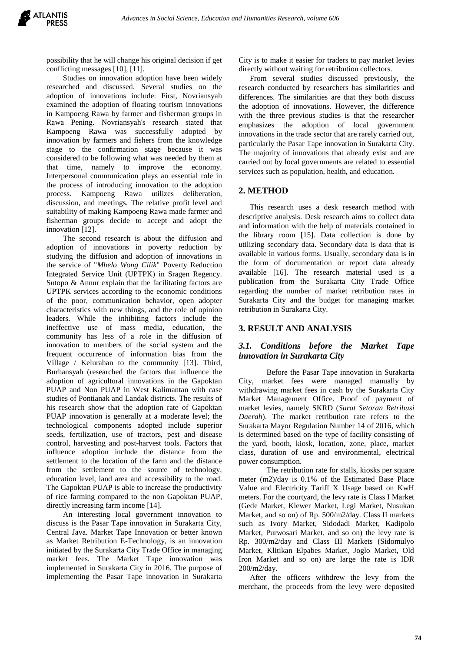possibility that he will change his original decision if get conflicting messages [10], [11].

Studies on innovation adoption have been widely researched and discussed. Several studies on the adoption of innovations include: First, Novriansyah examined the adoption of floating tourism innovations in Kampoeng Rawa by farmer and fisherman groups in Rawa Pening. Novriansyah's research stated that Kampoeng Rawa was successfully adopted by innovation by farmers and fishers from the knowledge stage to the confirmation stage because it was considered to be following what was needed by them at that time, namely to improve the economy. Interpersonal communication plays an essential role in the process of introducing innovation to the adoption process. Kampoeng Rawa utilizes deliberation, discussion, and meetings. The relative profit level and suitability of making Kampoeng Rawa made farmer and fisherman groups decide to accept and adopt the innovation [12].

The second research is about the diffusion and adoption of innovations in poverty reduction by studying the diffusion and adoption of innovations in the service of "*Mbelo Wong Cilik*" Poverty Reduction Integrated Service Unit (UPTPK) in Sragen Regency. Sutopo & Annur explain that the facilitating factors are UPTPK services according to the economic conditions of the poor, communication behavior, open adopter characteristics with new things, and the role of opinion leaders. While the inhibiting factors include the ineffective use of mass media, education, the community has less of a role in the diffusion of innovation to members of the social system and the frequent occurrence of information bias from the Village / Kelurahan to the community [13]. Third, Burhansyah (researched the factors that influence the adoption of agricultural innovations in the Gapoktan PUAP and Non PUAP in West Kalimantan with case studies of Pontianak and Landak districts. The results of his research show that the adoption rate of Gapoktan PUAP innovation is generally at a moderate level; the technological components adopted include superior seeds, fertilization, use of tractors, pest and disease control, harvesting and post-harvest tools. Factors that influence adoption include the distance from the settlement to the location of the farm and the distance from the settlement to the source of technology, education level, land area and accessibility to the road. The Gapoktan PUAP is able to increase the productivity of rice farming compared to the non Gapoktan PUAP, directly increasing farm income [14].

An interesting local government innovation to discuss is the Pasar Tape innovation in Surakarta City, Central Java. Market Tape Innovation or better known as Market Retribution E-Technology, is an innovation initiated by the Surakarta City Trade Office in managing market fees. The Market Tape innovation was implemented in Surakarta City in 2016. The purpose of implementing the Pasar Tape innovation in Surakarta City is to make it easier for traders to pay market levies directly without waiting for retribution collectors.

From several studies discussed previously, the research conducted by researchers has similarities and differences. The similarities are that they both discuss the adoption of innovations. However, the difference with the three previous studies is that the researcher emphasizes the adoption of local government innovations in the trade sector that are rarely carried out, particularly the Pasar Tape innovation in Surakarta City. The majority of innovations that already exist and are carried out by local governments are related to essential services such as population, health, and education.

# **2. METHOD**

This research uses a desk research method with descriptive analysis. Desk research aims to collect data and information with the help of materials contained in the library room [15]. Data collection is done by utilizing secondary data. Secondary data is data that is available in various forms. Usually, secondary data is in the form of documentation or report data already available [16]. The research material used is a publication from the Surakarta City Trade Office regarding the number of market retribution rates in Surakarta City and the budget for managing market retribution in Surakarta City.

## **3. RESULT AND ANALYSIS**

# *3.1. Conditions before the Market Tape innovation in Surakarta City*

Before the Pasar Tape innovation in Surakarta City, market fees were managed manually by withdrawing market fees in cash by the Surakarta City Market Management Office. Proof of payment of market levies, namely SKRD (*Surat Setoran Retribusi Daerah*). The market retribution rate refers to the Surakarta Mayor Regulation Number 14 of 2016, which is determined based on the type of facility consisting of the yard, booth, kiosk, location, zone, place, market class, duration of use and environmental, electrical power consumption.

The retribution rate for stalls, kiosks per square meter (m2)/day is 0.1% of the Estimated Base Place Value and Electricity Tariff X Usage based on KwH meters. For the courtyard, the levy rate is Class I Market (Gede Market, Klewer Market, Legi Market, Nusukan Market, and so on) of Rp. 500/m2/day. Class II markets such as Ivory Market, Sidodadi Market, Kadipolo Market, Purwosari Market, and so on) the levy rate is Rp. 300/m2/day and Class III Markets (Sidomulyo Market, Klitikan Elpabes Market, Joglo Market, Old Iron Market and so on) are large the rate is IDR 200/m2/day.

After the officers withdrew the levy from the merchant, the proceeds from the levy were deposited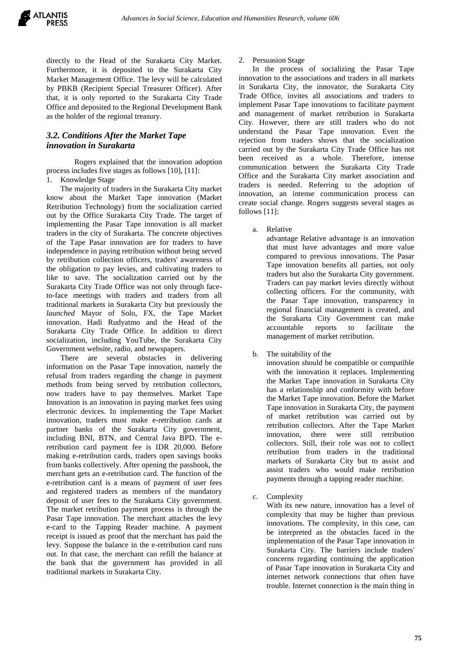

directly to the Head of the Surakarta City Market. Furthermore, it is deposited to the Surakarta City Market Management Office. The levy will be calculated by PBKB (Recipient Special Treasurer Officer). After that, it is only reported to the Surakarta City Trade Office and deposited to the Regional Development Bank as the holder of the regional treasury.

# *3.2. Conditions After the Market Tape innovation in Surakarta*

Rogers explained that the innovation adoption process includes five stages as follows [10], [11]:

# 1. Knowledge Stage

The majority of traders in the Surakarta City market know about the Market Tape innovation (Market Retribution Technology) from the socialization carried out by the Office Surakarta City Trade. The target of implementing the Pasar Tape innovation is all market traders in the city of Surakarta. The concrete objectives of the Tape Pasar innovation are for traders to have independence in paying retribution without being served by retribution collection officers, traders' awareness of the obligation to pay levies, and cultivating traders to like to save. The socialization carried out by the Surakarta City Trade Office was not only through faceto-face meetings with traders and traders from all traditional markets in Surakarta City but previously the *launched* Mayor of Solo, FX, the Tape Market innovation. Hadi Rudyatmo and the Head of the Surakarta City Trade Office. In addition to direct socialization, including YouTube, the Surakarta City Government website, radio, and newspapers.

There are several obstacles in delivering information on the Pasar Tape innovation, namely the refusal from traders regarding the change in payment methods from being served by retribution collectors, now traders have to pay themselves. Market Tape Innovation is an innovation in paying market fees using electronic devices. In implementing the Tape Market innovation, traders must make e-retribution cards at partner banks of the Surakarta City government, including BNI, BTN, and Central Java BPD. The eretribution card payment fee is IDR 20,000. Before making e-retribution cards, traders open savings books from banks collectively. After opening the passbook, the merchant gets an e-retribution card. The function of the e-retribution card is a means of payment of user fees and registered traders as members of the mandatory deposit of user fees to the Surakarta City government. The market retribution payment process is through the Pasar Tape innovation. The merchant attaches the levy e-card to the Tapping Reader machine. A payment receipt is issued as proof that the merchant has paid the levy. Suppose the balance in the e-retribution card runs out. In that case, the merchant can refill the balance at the bank that the government has provided in all traditional markets in Surakarta City.

#### Persuasion Stage

In the process of socializing the Pasar Tape innovation to the associations and traders in all markets in Surakarta City, the innovator, the Surakarta City Trade Office, invites all associations and traders to implement Pasar Tape innovations to facilitate payment and management of market retribution in Surakarta City. However, there are still traders who do not understand the Pasar Tape innovation. Even the rejection from traders shows that the socialization carried out by the Surakarta City Trade Office has not been received as a whole. Therefore, intense communication between the Surakarta City Trade Office and the Surakarta City market association and traders is needed. Referring to the adoption of innovation, an intense communication process can create social change. Rogers suggests several stages as follows [11]:

a. Relative

advantage Relative advantage is an innovation that must have advantages and more value compared to previous innovations. The Pasar Tape innovation benefits all parties, not only traders but also the Surakarta City government. Traders can pay market levies directly without collecting officers. For the community, with the Pasar Tape innovation, transparency in regional financial management is created, and the Surakarta City Government can make accountable reports to facilitate the management of market retribution.

b. The suitability of the

innovation should be compatible or compatible with the innovation it replaces. Implementing the Market Tape innovation in Surakarta City has a relationship and conformity with before the Market Tape innovation. Before the Market Tape innovation in Surakarta City, the payment of market retribution was carried out by retribution collectors. After the Tape Market innovation, there were still retribution collectors. Still, their role was not to collect retribution from traders in the traditional markets of Surakarta City but to assist and assist traders who would make retribution payments through a tapping reader machine.

c. Complexity

With its new nature, innovation has a level of complexity that may be higher than previous innovations. The complexity, in this case, can be interpreted as the obstacles faced in the implementation of the Pasar Tape innovation in Surakarta City. The barriers include traders' concerns regarding continuing the application of Pasar Tape innovation in Surakarta City and internet network connections that often have trouble. Internet connection is the main thing in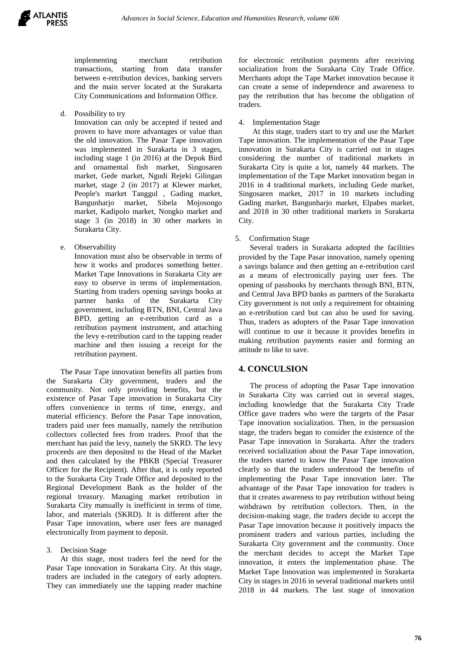

implementing merchant retribution transactions, starting from data transfer between e-retribution devices, banking servers and the main server located at the Surakarta City Communications and Information Office.

d. Possibility to try

Innovation can only be accepted if tested and proven to have more advantages or value than the old innovation. The Pasar Tape innovation was implemented in Surakarta in 3 stages, including stage 1 (in 2016) at the Depok Bird and ornamental fish market, Singosaren market, Gede market, Ngudi Rejeki Gilingan market, stage 2 (in 2017) at Klewer market, People's market Tanggul , Gading market, Bangunharjo market, Sibela Mojosongo market, Kadipolo market, Nongko market and stage 3 (in 2018) in 30 other markets in Surakarta City.

e. Observability

Innovation must also be observable in terms of how it works and produces something better. Market Tape Innovations in Surakarta City are easy to observe in terms of implementation. Starting from traders opening savings books at partner banks of the Surakarta City government, including BTN, BNI, Central Java BPD, getting an e-retribution card as a retribution payment instrument, and attaching the levy e-retribution card to the tapping reader machine and then issuing a receipt for the retribution payment.

The Pasar Tape innovation benefits all parties from the Surakarta City government, traders and the community. Not only providing benefits, but the existence of Pasar Tape innovation in Surakarta City offers convenience in terms of time, energy, and material efficiency. Before the Pasar Tape innovation, traders paid user fees manually, namely the retribution collectors collected fees from traders. Proof that the merchant has paid the levy, namely the SKRD. The levy proceeds are then deposited to the Head of the Market and then calculated by the PBKB (Special Treasurer Officer for the Recipient). After that, it is only reported to the Surakarta City Trade Office and deposited to the Regional Development Bank as the holder of the regional treasury. Managing market retribution in Surakarta City manually is inefficient in terms of time, labor, and materials (SKRD). It is different after the Pasar Tape innovation, where user fees are managed electronically from payment to deposit.

## 3. Decision Stage

At this stage, most traders feel the need for the Pasar Tape innovation in Surakarta City. At this stage, traders are included in the category of early adopters. They can immediately use the tapping reader machine for electronic retribution payments after receiving socialization from the Surakarta City Trade Office. Merchants adopt the Tape Market innovation because it can create a sense of independence and awareness to pay the retribution that has become the obligation of traders.

# 4. Implementation Stage

At this stage, traders start to try and use the Market Tape innovation. The implementation of the Pasar Tape innovation in Surakarta City is carried out in stages considering the number of traditional markets in Surakarta City is quite a lot, namely 44 markets. The implementation of the Tape Market innovation began in 2016 in 4 traditional markets, including Gede market, Singosaren market, 2017 in 10 markets including Gading market, Bangunharjo market, Elpabes market, and 2018 in 30 other traditional markets in Surakarta City.

## 5. Confirmation Stage

Several traders in Surakarta adopted the facilities provided by the Tape Pasar innovation, namely opening a savings balance and then getting an e-retribution card as a means of electronically paying user fees. The opening of passbooks by merchants through BNI, BTN, and Central Java BPD banks as partners of the Surakarta City government is not only a requirement for obtaining an e-retribution card but can also be used for saving. Thus, traders as adopters of the Pasar Tape innovation will continue to use it because it provides benefits in making retribution payments easier and forming an attitude to like to save.

## **4. CONCULSION**

The process of adopting the Pasar Tape innovation in Surakarta City was carried out in several stages, including knowledge that the Surakarta City Trade Office gave traders who were the targets of the Pasar Tape innovation socialization. Then, in the persuasion stage, the traders began to consider the existence of the Pasar Tape innovation in Surakarta. After the traders received socialization about the Pasar Tape innovation, the traders started to know the Pasar Tape innovation clearly so that the traders understood the benefits of implementing the Pasar Tape innovation later. The advantage of the Pasar Tape innovation for traders is that it creates awareness to pay retribution without being withdrawn by retribution collectors. Then, in the decision-making stage, the traders decide to accept the Pasar Tape innovation because it positively impacts the prominent traders and various parties, including the Surakarta City government and the community. Once the merchant decides to accept the Market Tape innovation, it enters the implementation phase. The Market Tape Innovation was implemented in Surakarta City in stages in 2016 in several traditional markets until 2018 in 44 markets. The last stage of innovation